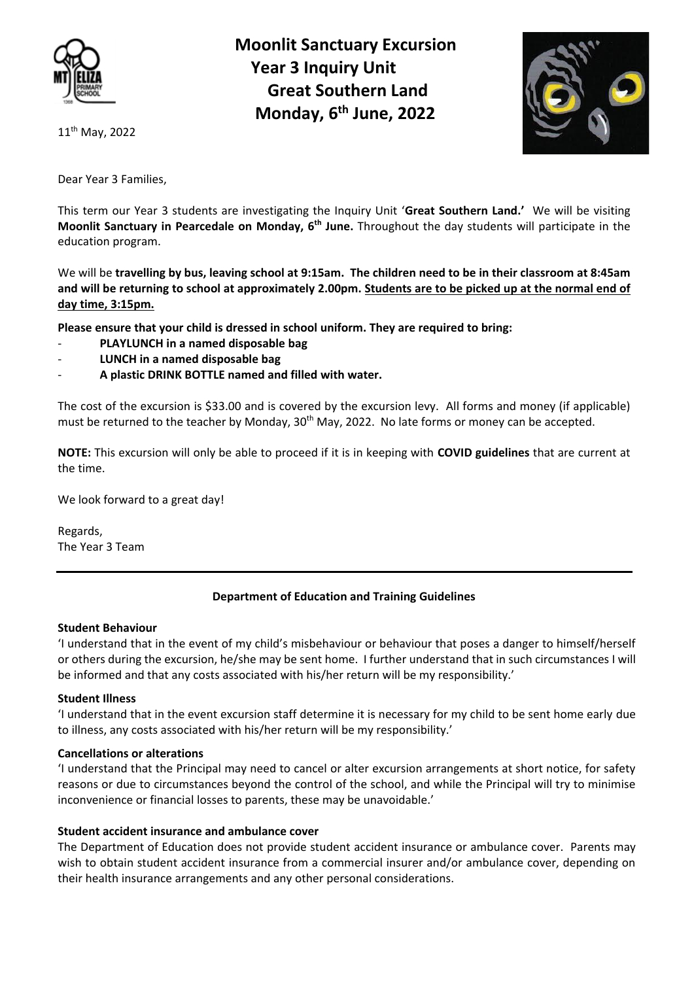

11<sup>th</sup> May, 2022

 **Moonlit Sanctuary Excursion Year 3 Inquiry Unit Great Southern Land Monday, 6th June, 2022**



Dear Year 3 Families,

This term our Year 3 students are investigating the Inquiry Unit '**Great Southern Land.'** We will be visiting **Moonlit Sanctuary in Pearcedale on Monday, 6th June.** Throughout the day students will participate in the education program.

We will be **travelling by bus, leaving school at 9:15am. The children need to be in their classroom at 8:45am and will be returning to school at approximately 2.00pm. Students are to be picked up at the normal end of day time, 3:15pm.**

**Please ensure that your child is dressed in school uniform. They are required to bring:** 

- **PLAYLUNCH in a named disposable bag**
- **LUNCH in a named disposable bag**
- **A plastic DRINK BOTTLE named and filled with water.**

The cost of the excursion is \$33.00 and is covered by the excursion levy. All forms and money (if applicable) must be returned to the teacher by Monday,  $30<sup>th</sup>$  May, 2022. No late forms or money can be accepted.

**NOTE:** This excursion will only be able to proceed if it is in keeping with **COVID guidelines** that are current at the time.

We look forward to a great day!

Regards, The Year 3 Team

# **Department of Education and Training Guidelines**

## **Student Behaviour**

'I understand that in the event of my child's misbehaviour or behaviour that poses a danger to himself/herself or others during the excursion, he/she may be sent home. I further understand that in such circumstances I will be informed and that any costs associated with his/her return will be my responsibility.'

## **Student Illness**

'I understand that in the event excursion staff determine it is necessary for my child to be sent home early due to illness, any costs associated with his/her return will be my responsibility.'

# **Cancellations or alterations**

'I understand that the Principal may need to cancel or alter excursion arrangements at short notice, for safety reasons or due to circumstances beyond the control of the school, and while the Principal will try to minimise inconvenience or financial losses to parents, these may be unavoidable.'

# **Student accident insurance and ambulance cover**

The Department of Education does not provide student accident insurance or ambulance cover. Parents may wish to obtain student accident insurance from a commercial insurer and/or ambulance cover, depending on their health insurance arrangements and any other personal considerations.